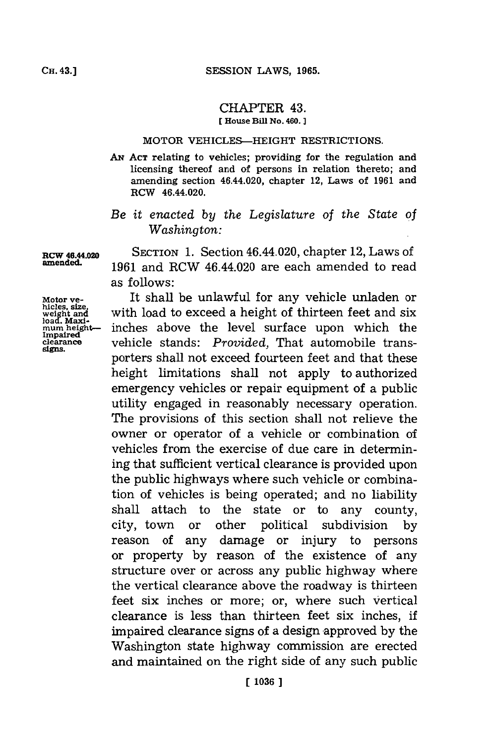## CHAPTER 43. **[** House **Bill N~o. 460.]1**

## MOTOR VEHICLES-HEIGHT RESTRICTIONS.

AN<sup> ACT</sup> relating to vehicles; providing for the regulation and licensing thereof and of persons in relation thereto; and amending section 46.44.020, chapter 12, Laws of **1961** and RCW 46.44.020.

*Be it enacted by the Legislature of the State of Washington:*

SECTION **1.** Section 46.44.020, chapter 12, Laws of **1961** and RCW 46.44.020 are each amended to read as follows:

It shall be unlawful for any vehicle unladen or with load to exceed a height of thirteen feet and six inches above the level surface upon which the vehicle stands: *Provided,* That automobile transporters shall not exceed fourteen feet and that these height limitations shall not apply to authorized emergency vehicles or repair equipment of a public utility engaged in reasonably necessary operation. The provisions of this section shall not relieve the owner or operator of a vehicle or combination of vehicles from the exercise of due care in determining that sufficient vertical clearance is provided upon the public highways where such vehicle or combination of vehicles is being operated; and no liability shall attach to the state or to any county, city, town or other political subdivision **by** reason of any damage or injury to persons or property **by** reason of the existence of any structure over or across any public highway where the vertical clearance above the roadway is thirteen feet six inches or more; or, where such vertical clearance is less than thirteen feet six inches, if impaired clearance signs of a design approved by the Washington state highway commission are erected and maintained on the right side of any such public

RCW 40.44.020 amended.

Motor ve-<br>
hicles, size,<br>
weight and<br>
load. Maxi-<br>
Immired

Impaired<br>clearance **sgns.**